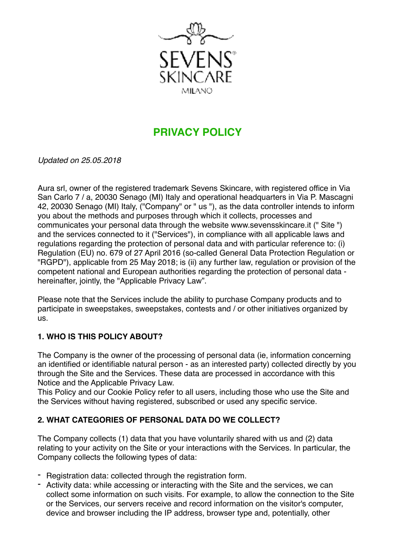

# **PRIVACY POLICY**

*Updated on 25.05.2018* 

Aura srl, owner of the registered trademark Sevens Skincare, with registered office in Via San Carlo 7 / a, 20030 Senago (MI) Italy and operational headquarters in Via P. Mascagni 42, 20030 Senago (MI) Italy, ("Company" or " us "), as the data controller intends to inform you about the methods and purposes through which it collects, processes and communicates your personal data through the website www.sevensskincare.it (" Site ") and the services connected to it ("Services"), in compliance with all applicable laws and regulations regarding the protection of personal data and with particular reference to: (i) Regulation (EU) no. 679 of 27 April 2016 (so-called General Data Protection Regulation or "RGPD"), applicable from 25 May 2018; is (ii) any further law, regulation or provision of the competent national and European authorities regarding the protection of personal data hereinafter, jointly, the "Applicable Privacy Law".

Please note that the Services include the ability to purchase Company products and to participate in sweepstakes, sweepstakes, contests and / or other initiatives organized by us.

#### **1. WHO IS THIS POLICY ABOUT?**

The Company is the owner of the processing of personal data (ie, information concerning an identified or identifiable natural person - as an interested party) collected directly by you through the Site and the Services. These data are processed in accordance with this Notice and the Applicable Privacy Law.

This Policy and our Cookie Policy refer to all users, including those who use the Site and the Services without having registered, subscribed or used any specific service.

#### **2. WHAT CATEGORIES OF PERSONAL DATA DO WE COLLECT?**

The Company collects (1) data that you have voluntarily shared with us and (2) data relating to your activity on the Site or your interactions with the Services. In particular, the Company collects the following types of data:

- Registration data: collected through the registration form.
- Activity data: while accessing or interacting with the Site and the services, we can collect some information on such visits. For example, to allow the connection to the Site or the Services, our servers receive and record information on the visitor's computer, device and browser including the IP address, browser type and, potentially, other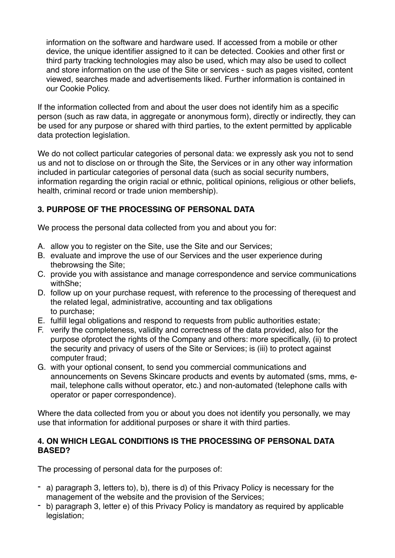information on the software and hardware used. If accessed from a mobile or other device, the unique identifier assigned to it can be detected. Cookies and other first or third party tracking technologies may also be used, which may also be used to collect and store information on the use of the Site or services - such as pages visited, content viewed, searches made and advertisements liked. Further information is contained in our Cookie Policy.

If the information collected from and about the user does not identify him as a specific person (such as raw data, in aggregate or anonymous form), directly or indirectly, they can be used for any purpose or shared with third parties, to the extent permitted by applicable data protection legislation.

We do not collect particular categories of personal data: we expressly ask you not to send us and not to disclose on or through the Site, the Services or in any other way information included in particular categories of personal data (such as social security numbers, information regarding the origin racial or ethnic, political opinions, religious or other beliefs, health, criminal record or trade union membership).

## **3. PURPOSE OF THE PROCESSING OF PERSONAL DATA**

We process the personal data collected from you and about you for:

- A. allow you to register on the Site, use the Site and our Services;
- B. evaluate and improve the use of our Services and the user experience during thebrowsing the Site;
- C. provide you with assistance and manage correspondence and service communications withShe;
- D. follow up on your purchase request, with reference to the processing of therequest and the related legal, administrative, accounting and tax obligations to purchase;
- E. fulfill legal obligations and respond to requests from public authorities estate;
- F. verify the completeness, validity and correctness of the data provided, also for the purpose ofprotect the rights of the Company and others: more specifically, (ii) to protect the security and privacy of users of the Site or Services; is (iii) to protect against computer fraud;
- G. with your optional consent, to send you commercial communications and announcements on Sevens Skincare products and events by automated (sms, mms, email, telephone calls without operator, etc.) and non-automated (telephone calls with operator or paper correspondence).

Where the data collected from you or about you does not identify you personally, we may use that information for additional purposes or share it with third parties.

#### **4. ON WHICH LEGAL CONDITIONS IS THE PROCESSING OF PERSONAL DATA BASED?**

The processing of personal data for the purposes of:

- a) paragraph 3, letters to), b), there is d) of this Privacy Policy is necessary for the management of the website and the provision of the Services;
- b) paragraph 3, letter e) of this Privacy Policy is mandatory as required by applicable legislation;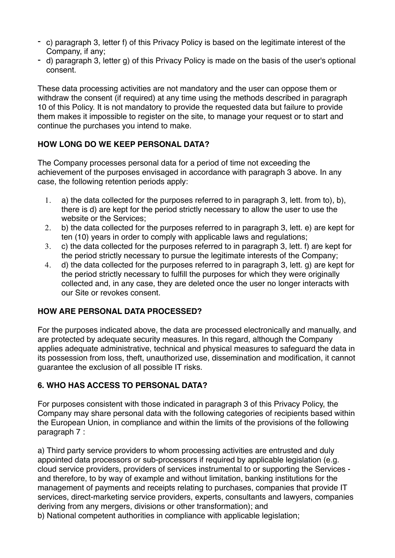- c) paragraph 3, letter f) of this Privacy Policy is based on the legitimate interest of the Company, if any;
- d) paragraph 3, letter g) of this Privacy Policy is made on the basis of the user's optional consent.

These data processing activities are not mandatory and the user can oppose them or withdraw the consent (if required) at any time using the methods described in paragraph 10 of this Policy. It is not mandatory to provide the requested data but failure to provide them makes it impossible to register on the site, to manage your request or to start and continue the purchases you intend to make.

## **HOW LONG DO WE KEEP PERSONAL DATA?**

The Company processes personal data for a period of time not exceeding the achievement of the purposes envisaged in accordance with paragraph 3 above. In any case, the following retention periods apply:

- 1. a) the data collected for the purposes referred to in paragraph 3, lett. from to), b), there is d) are kept for the period strictly necessary to allow the user to use the website or the Services;
- 2. b) the data collected for the purposes referred to in paragraph 3, lett. e) are kept for ten (10) years in order to comply with applicable laws and regulations;
- 3. c) the data collected for the purposes referred to in paragraph 3, lett. f) are kept for the period strictly necessary to pursue the legitimate interests of the Company;
- 4. d) the data collected for the purposes referred to in paragraph 3, lett. g) are kept for the period strictly necessary to fulfill the purposes for which they were originally collected and, in any case, they are deleted once the user no longer interacts with our Site or revokes consent.

#### **HOW ARE PERSONAL DATA PROCESSED?**

For the purposes indicated above, the data are processed electronically and manually, and are protected by adequate security measures. In this regard, although the Company applies adequate administrative, technical and physical measures to safeguard the data in its possession from loss, theft, unauthorized use, dissemination and modification, it cannot guarantee the exclusion of all possible IT risks.

## **6. WHO HAS ACCESS TO PERSONAL DATA?**

For purposes consistent with those indicated in paragraph 3 of this Privacy Policy, the Company may share personal data with the following categories of recipients based within the European Union, in compliance and within the limits of the provisions of the following paragraph 7 :

a) Third party service providers to whom processing activities are entrusted and duly appointed data processors or sub-processors if required by applicable legislation (e.g. cloud service providers, providers of services instrumental to or supporting the Services and therefore, to by way of example and without limitation, banking institutions for the management of payments and receipts relating to purchases, companies that provide IT services, direct-marketing service providers, experts, consultants and lawyers, companies deriving from any mergers, divisions or other transformation); and

b) National competent authorities in compliance with applicable legislation;